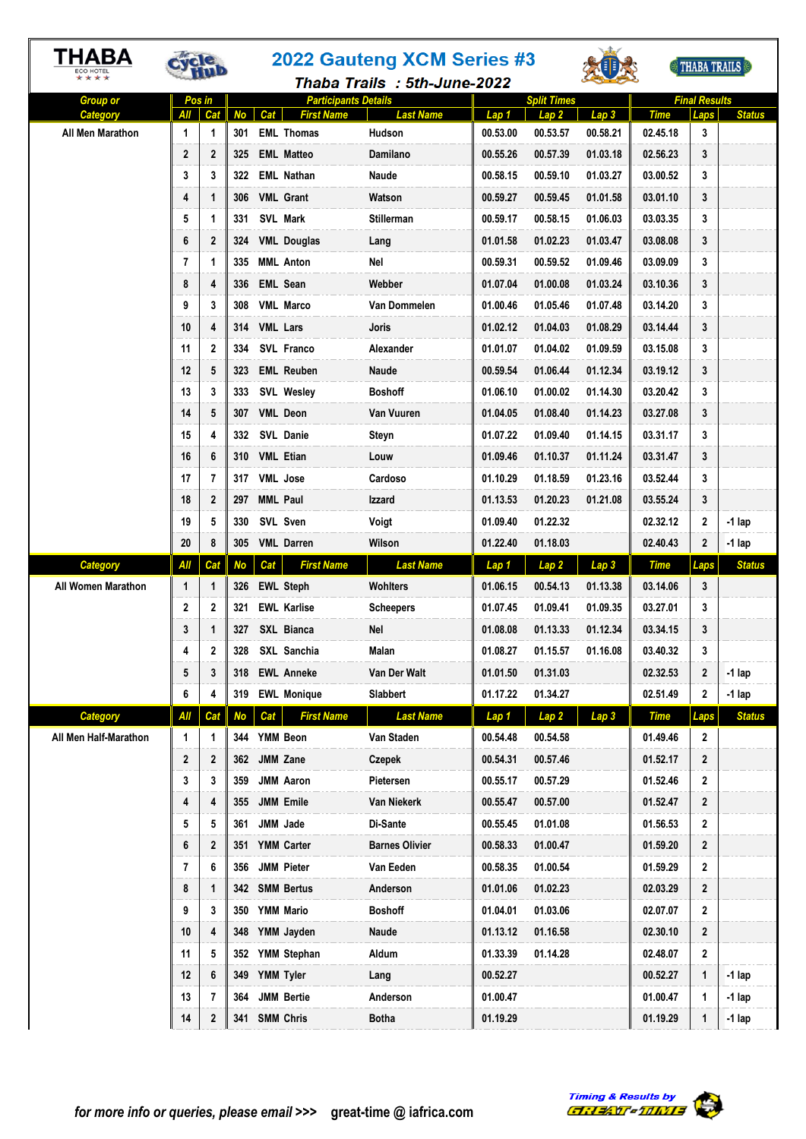|                                          | THABA<br>**** |              |                  | 2022 Gauteng XCM Series #3 |                                        |                             |                   |                              | THABA TRAILS                 |                         |                      |               |
|------------------------------------------|---------------|--------------|------------------|----------------------------|----------------------------------------|-----------------------------|-------------------|------------------------------|------------------------------|-------------------------|----------------------|---------------|
|                                          |               |              |                  |                            |                                        | Thaba Trails: 5th-June-2022 |                   |                              |                              |                         |                      |               |
| <b>Group or</b>                          |               | Pos in       |                  |                            | <b>Participants Details</b>            |                             |                   | <b>Split Times</b>           |                              |                         | <b>Final Results</b> |               |
| Category<br>All Men Marathon             | All<br>1      | Cat<br>1     | No<br>301        | Cat                        | <b>First Name</b><br><b>EML</b> Thomas | <b>Last Name</b><br>Hudson  | Lap 1<br>00.53.00 | Lap 2<br>00.53.57            | Lap 3<br>00.58.21            | <b>Time</b><br>02.45.18 | Laps<br>3            | <b>Status</b> |
|                                          | 2             | $\mathbf{2}$ | 325              |                            | <b>EML Matteo</b>                      | Damilano                    | 00.55.26          | 00.57.39                     | 01.03.18                     | 02.56.23                | 3                    |               |
|                                          | 3             | 3            | 322              |                            | <b>EML Nathan</b>                      | Naude                       | 00.58.15          | 00.59.10                     | 01.03.27                     | 03.00.52                | 3                    |               |
|                                          | 4             | 1            | 306              |                            | <b>VML Grant</b>                       | Watson                      | 00.59.27          | 00.59.45                     | 01.01.58                     | 03.01.10                | 3                    |               |
|                                          | 5             | 1            | 331              |                            | SVL Mark                               | <b>Stillerman</b>           | 00.59.17          | 00.58.15                     | 01.06.03                     | 03.03.35                | 3                    |               |
|                                          | 6             | 2            |                  |                            | 324 VML Douglas                        | Lang                        | 01.01.58          | 01.02.23                     | 01.03.47                     | 03.08.08                | 3                    |               |
|                                          | 7             | 1            |                  |                            | 335 MML Anton                          | Nel                         | 00.59.31          | 00.59.52                     | 01.09.46                     | 03.09.09                | 3                    |               |
|                                          | 8             | 4            | 336              |                            | <b>EML Sean</b>                        | Webber                      | 01.07.04          | 01.00.08                     | 01.03.24                     | 03.10.36                | 3                    |               |
|                                          | 9             | 3            | 308              |                            | <b>VML Marco</b>                       | Van Dommelen                | 01.00.46          | 01.05.46                     | 01.07.48                     | 03.14.20                | 3                    |               |
|                                          | 10            | 4            |                  |                            | 314 VML Lars                           | Joris                       | 01.02.12          | 01.04.03                     | 01.08.29                     | 03.14.44                | 3                    |               |
|                                          | 11            | $\mathbf{2}$ | 334              |                            | SVL Franco                             | Alexander                   | 01.01.07          | 01.04.02                     | 01.09.59                     | 03.15.08                | 3                    |               |
|                                          | 12            | 5            | 323              |                            | <b>EML Reuben</b>                      | Naude                       | 00.59.54          | 01.06.44                     | 01.12.34                     | 03.19.12                | 3                    |               |
|                                          | 13            | 3            | 333              |                            | <b>SVL Wesley</b>                      | <b>Boshoff</b>              | 01.06.10          | 01.00.02                     | 01.14.30                     | 03.20.42                | 3                    |               |
|                                          | 14            | 5            | 307              |                            | <b>VML Deon</b>                        | Van Vuuren                  | 01.04.05          | 01.08.40                     | 01.14.23                     | 03.27.08                | 3                    |               |
|                                          | 15            | 4            | 332              |                            | <b>SVL Danie</b>                       | Steyn                       | 01.07.22          | 01.09.40                     | 01.14.15                     | 03.31.17                | 3                    |               |
|                                          | 16            | 6            |                  |                            | 310 VML Etian                          | Louw                        | 01.09.46          | 01.10.37                     | 01.11.24                     | 03.31.47                | 3                    |               |
|                                          | 17            | 7            | 317              |                            | <b>VML</b> Jose                        | Cardoso                     | 01.10.29          | 01.18.59                     | 01.23.16                     | 03.52.44                | 3                    |               |
|                                          | 18            | $\mathbf{2}$ | 297              |                            | <b>MML Paul</b>                        | Izzard                      | 01.13.53          | 01.20.23                     | 01.21.08                     | 03.55.24                | 3                    |               |
|                                          | 19            | 5            | 330              |                            | SVL Sven                               | Voigt                       | 01.09.40          | 01.22.32                     |                              | 02.32.12                | $\mathbf{2}$         | $-1$ lap      |
|                                          | 20            | 8            | 305              |                            | <b>VML</b> Darren                      | Wilson                      | 01.22.40          | 01.18.03                     |                              | 02.40.43                | $\mathbf{2}$         | $-1$ lap      |
|                                          |               |              |                  |                            |                                        |                             |                   |                              |                              |                         |                      |               |
|                                          |               | Cat          |                  |                            | <b>First Name</b>                      | <b>Last Name</b>            |                   |                              |                              |                         |                      | <b>Status</b> |
| <b>Category</b><br>All Women Marathon    | All<br>1      | 1            | <b>No</b><br>326 | Cat                        | <b>EWL Steph</b>                       | <b>Wohlters</b>             | Lap 1<br>01.06.15 | Lap <sub>2</sub><br>00.54.13 | Lap <sub>3</sub><br>01.13.38 | <b>Time</b><br>03.14.06 | Laps<br>3            |               |
|                                          | 2             | 2            | 321              |                            | <b>EWL Karlise</b>                     | <b>Scheepers</b>            | 01.07.45          | 01.09.41                     | 01.09.35                     | 03.27.01                | 3                    |               |
|                                          | 3             | 1            | 327              |                            | SXL Bianca                             | Nel                         | 01.08.08          | 01.13.33                     | 01.12.34                     | 03.34.15                | 3                    |               |
|                                          | 4             | 2            | 328              |                            | SXL Sanchia                            | Malan                       | 01.08.27          | 01.15.57                     | 01.16.08                     | 03.40.32                | 3                    |               |
|                                          | 5             | 3            | 318              |                            | <b>EWL Anneke</b>                      |                             | 01.01.50          | 01.31.03                     |                              | 02.32.53                | $\mathbf{2}$         | $-1$ lap      |
|                                          | 6             | 4            | 319              |                            | <b>EWL Monique</b>                     | Van Der Walt<br>Slabbert    | 01.17.22          | 01.34.27                     |                              | 02.51.49                | 2                    | $-1$ lap      |
|                                          | All           | Cat          |                  | Cat                        | <b>First Name</b>                      | <b>Last Name</b>            | Lap 1             |                              |                              | <b>Time</b>             |                      | <b>Status</b> |
| <b>Category</b><br>All Men Half-Marathon | 1             | 1            | <b>No</b>        |                            | 344 YMM Beon                           | Van Staden                  | 00.54.48          | Lap <sub>2</sub><br>00.54.58 | Lap <sub>3</sub>             | 01.49.46                | Laps<br>2            |               |
|                                          | 2             | $\mathbf{2}$ |                  |                            | 362 JMM Zane                           | <b>Czepek</b>               | 00.54.31          | 00.57.46                     |                              | 01.52.17                | $\mathbf{2}$         |               |
|                                          | 3             | 3            |                  |                            | 359 JMM Aaron                          | Pietersen                   | 00.55.17          | 00.57.29                     |                              | 01.52.46                | $\mathbf{2}$         |               |
|                                          | 4             | 4            |                  |                            | 355 JMM Emile                          | Van Niekerk                 | 00.55.47          | 00.57.00                     |                              | 01.52.47                | $\mathbf{2}$         |               |
|                                          | 5             | 5            |                  |                            | 361 JMM Jade                           | Di-Sante                    | 00.55.45          | 01.01.08                     |                              | 01.56.53                | $\mathbf{2}$         |               |
|                                          | 6             | 2            |                  |                            | 351 YMM Carter                         | <b>Barnes Olivier</b>       | 00.58.33          | 01.00.47                     |                              | 01.59.20                | $\mathbf{2}$         |               |
|                                          | 7             | 6            | 356              |                            | <b>JMM Pieter</b>                      | Van Eeden                   | 00.58.35          | 01.00.54                     |                              | 01.59.29                | $\mathbf{2}$         |               |
|                                          | 8             | 1            |                  |                            | 342 SMM Bertus                         | Anderson                    | 01.01.06          | 01.02.23                     |                              | 02.03.29                | $\mathbf{2}$         |               |
|                                          | 9             | 3            |                  |                            | 350 YMM Mario                          | <b>Boshoff</b>              | 01.04.01          | 01.03.06                     |                              | 02.07.07                | $\overline{2}$       |               |
|                                          | 10            | 4            | 348              |                            | YMM Jayden                             | Naude                       | 01.13.12          | 01.16.58                     |                              | 02.30.10                | $\mathbf{2}$         |               |
|                                          | 11            | 5            |                  |                            | 352 YMM Stephan                        | Aldum                       | 01.33.39          | 01.14.28                     |                              | 02.48.07                | $\mathbf{2}$         |               |
|                                          | 12            | 6            |                  |                            | 349 YMM Tyler                          | Lang                        | 00.52.27          |                              |                              | 00.52.27                | 1                    | $-1$ lap      |
|                                          | 13            | 7            | 364              |                            | <b>JMM Bertie</b>                      | Anderson                    | 01.00.47          |                              |                              | 01.00.47                | 1                    | $-1$ lap      |